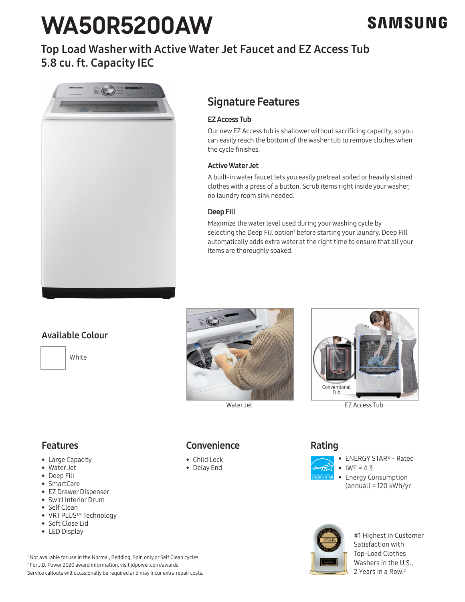# **WA50R5200AW**

# Top Load Washer with Active Water Jet Faucet and EZ Access Tub 5.8 cu. ft. Capacity IEC



# Signature Features

# EZ Access Tub

Our new EZ Access tub is shallower without sacrificing capacity, so you can easily reach the bottom of the washer tub to remove clothes when the cycle finishes.

#### Active Water Jet

A built-in water faucet lets you easily pretreat soiled or heavily stained clothes with a press of a button. Scrub items right inside your washer, no laundry room sink needed.

# Deep Fill

Maximize the water level used during your washing cycle by selecting the Deep Fill option<sup>1</sup> before starting your laundry. Deep Fill automatically adds extra water at the right time to ensure that all your items are thoroughly soaked.

# Available Colour







EZ Access Tub

# Features

- Large Capacity
- Water Jet
- Deep Fill
- SmartCare
- EZ Drawer Dispenser
- Swirl Interior Drum
- Self Clean
- VRT PLUS<sup>™</sup> Technology
- Soft Close Lid
- LED Display

# **Convenience**

- Child Lock
- Delay End

# Rating



- ENERGY STAR® Rated •  $IWF = 4.3$
- Energy Consumption (annual) = 120 kWh/yr



#1 Highest in Customer Satisfaction with Top-Load Clothes Washers in the U.S., 2 Years in a Row.2

1 Not available for use in the Normal, Bedding, Spin only or Self Clean cycles. 2 For J.D. Power 2020 award information, visit jdpower.com/awards Service callouts will occasionally be required and may incur extra repair costs.